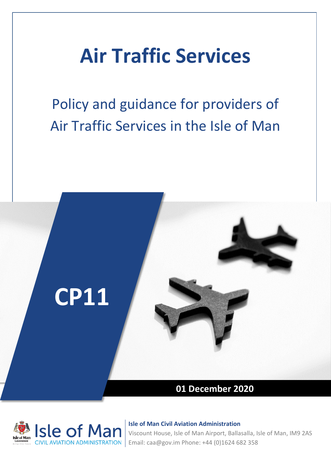# **Air Traffic Services**

Policy and guidance for providers of Air Traffic Services in the Isle of Man





**Isle of Man Civil Aviation Administration**

Viscount House, Isle of Man Airport, Ballasalla, Isle of Man, IM9 2AS Email: caa@gov.im Phone: +44 (0)1624 682 358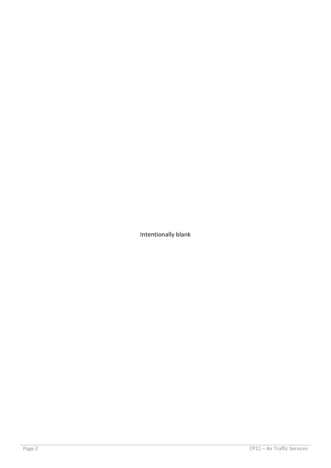Intentionally blank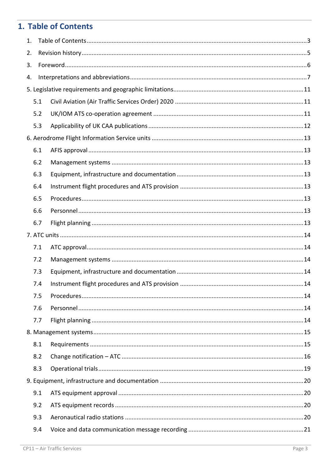# <span id="page-2-0"></span>1. Table of Contents

| 1. |     |  |  |  |
|----|-----|--|--|--|
| 2. |     |  |  |  |
| 3. |     |  |  |  |
| 4. |     |  |  |  |
|    |     |  |  |  |
|    | 5.1 |  |  |  |
|    | 5.2 |  |  |  |
|    | 5.3 |  |  |  |
|    |     |  |  |  |
|    | 6.1 |  |  |  |
|    | 6.2 |  |  |  |
|    | 6.3 |  |  |  |
|    | 6.4 |  |  |  |
|    | 6.5 |  |  |  |
|    | 6.6 |  |  |  |
|    | 6.7 |  |  |  |
|    |     |  |  |  |
|    | 7.1 |  |  |  |
|    | 7.2 |  |  |  |
|    | 7.3 |  |  |  |
|    | 7.4 |  |  |  |
|    | 7.5 |  |  |  |
|    | 7.6 |  |  |  |
|    | 7.7 |  |  |  |
|    |     |  |  |  |
|    | 8.1 |  |  |  |
|    | 8.2 |  |  |  |
|    | 8.3 |  |  |  |
|    |     |  |  |  |
|    | 9.1 |  |  |  |
|    | 9.2 |  |  |  |
|    | 9.3 |  |  |  |
|    | 9.4 |  |  |  |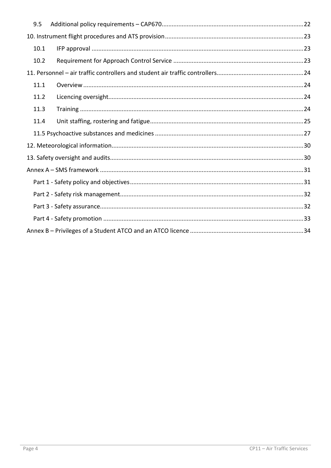| 9.5  |  |  |  |  |
|------|--|--|--|--|
|      |  |  |  |  |
| 10.1 |  |  |  |  |
| 10.2 |  |  |  |  |
|      |  |  |  |  |
| 11.1 |  |  |  |  |
| 11.2 |  |  |  |  |
| 11.3 |  |  |  |  |
| 11.4 |  |  |  |  |
|      |  |  |  |  |
|      |  |  |  |  |
|      |  |  |  |  |
|      |  |  |  |  |
|      |  |  |  |  |
|      |  |  |  |  |
|      |  |  |  |  |
|      |  |  |  |  |
|      |  |  |  |  |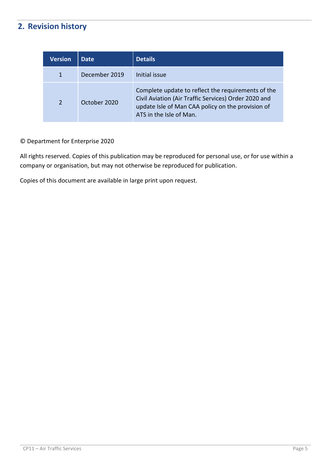# <span id="page-4-0"></span>**2. Revision history**

| <b>Version</b> | Date          | <b>Details</b>                                                                                                                                                                             |
|----------------|---------------|--------------------------------------------------------------------------------------------------------------------------------------------------------------------------------------------|
| 1              | December 2019 | Initial issue                                                                                                                                                                              |
| $\mathcal{P}$  | October 2020  | Complete update to reflect the requirements of the<br>Civil Aviation (Air Traffic Services) Order 2020 and<br>update Isle of Man CAA policy on the provision of<br>ATS in the Isle of Man. |

© Department for Enterprise 2020

All rights reserved. Copies of this publication may be reproduced for personal use, or for use within a company or organisation, but may not otherwise be reproduced for publication.

Copies of this document are available in large print upon request.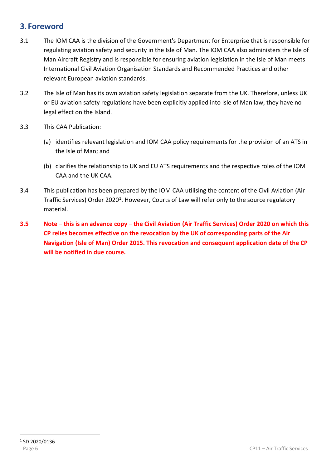# <span id="page-5-0"></span>**3. Foreword**

- 3.1 The IOM CAA is the division of the Government's Department for Enterprise that is responsible for regulating aviation safety and security in the Isle of Man. The IOM CAA also administers the Isle of Man Aircraft Registry and is responsible for ensuring aviation legislation in the Isle of Man meets International Civil Aviation Organisation Standards and Recommended Practices and other relevant European aviation standards.
- 3.2 The Isle of Man has its own aviation safety legislation separate from the UK. Therefore, unless UK or EU aviation safety regulations have been explicitly applied into Isle of Man law, they have no legal effect on the Island.
- 3.3 This CAA Publication:
	- (a) identifies relevant legislation and IOM CAA policy requirements for the provision of an ATS in the Isle of Man; and
	- (b) clarifies the relationship to UK and EU ATS requirements and the respective roles of the IOM CAA and the UK CAA.
- 3.4 This publication has been prepared by the IOM CAA utilising the content of the Civil Aviation (Air Traffic Services) Order 2020<sup>[1](#page-5-1)</sup>. However, Courts of Law will refer only to the source regulatory material.
- <span id="page-5-1"></span>**3.5 Note – this is an advance copy – the Civil Aviation (Air Traffic Services) Order 2020 on which this CP relies becomes effective on the revocation by the UK of corresponding parts of the Air Navigation (Isle of Man) Order 2015. This revocation and consequent application date of the CP will be notified in due course.**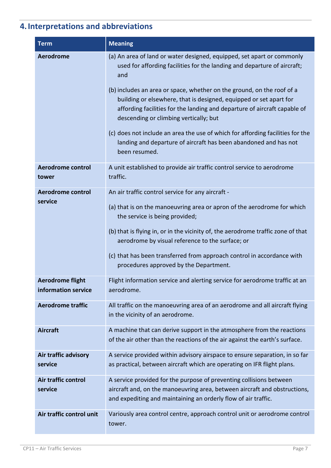# <span id="page-6-0"></span>**4.Interpretations and abbreviations**

| <b>Term</b>                                    | <b>Meaning</b>                                                                                                                                                                                                                                                      |
|------------------------------------------------|---------------------------------------------------------------------------------------------------------------------------------------------------------------------------------------------------------------------------------------------------------------------|
| <b>Aerodrome</b>                               | (a) An area of land or water designed, equipped, set apart or commonly<br>used for affording facilities for the landing and departure of aircraft;<br>and                                                                                                           |
|                                                | (b) includes an area or space, whether on the ground, on the roof of a<br>building or elsewhere, that is designed, equipped or set apart for<br>affording facilities for the landing and departure of aircraft capable of<br>descending or climbing vertically; but |
|                                                | (c) does not include an area the use of which for affording facilities for the<br>landing and departure of aircraft has been abandoned and has not<br>been resumed.                                                                                                 |
| <b>Aerodrome control</b><br>tower              | A unit established to provide air traffic control service to aerodrome<br>traffic.                                                                                                                                                                                  |
| <b>Aerodrome control</b>                       | An air traffic control service for any aircraft -                                                                                                                                                                                                                   |
| service                                        | (a) that is on the manoeuvring area or apron of the aerodrome for which<br>the service is being provided;                                                                                                                                                           |
|                                                | (b) that is flying in, or in the vicinity of, the aerodrome traffic zone of that<br>aerodrome by visual reference to the surface; or                                                                                                                                |
|                                                | (c) that has been transferred from approach control in accordance with<br>procedures approved by the Department.                                                                                                                                                    |
| <b>Aerodrome flight</b><br>information service | Flight information service and alerting service for aerodrome traffic at an<br>aerodrome.                                                                                                                                                                           |
| <b>Aerodrome traffic</b>                       | All traffic on the manoeuvring area of an aerodrome and all aircraft flying<br>in the vicinity of an aerodrome.                                                                                                                                                     |
| <b>Aircraft</b>                                | A machine that can derive support in the atmosphere from the reactions<br>of the air other than the reactions of the air against the earth's surface.                                                                                                               |
| Air traffic advisory<br>service                | A service provided within advisory airspace to ensure separation, in so far<br>as practical, between aircraft which are operating on IFR flight plans.                                                                                                              |
| Air traffic control                            | A service provided for the purpose of preventing collisions between                                                                                                                                                                                                 |
| service                                        | aircraft and, on the manoeuvring area, between aircraft and obstructions,<br>and expediting and maintaining an orderly flow of air traffic.                                                                                                                         |
| Air traffic control unit                       | Variously area control centre, approach control unit or aerodrome control<br>tower.                                                                                                                                                                                 |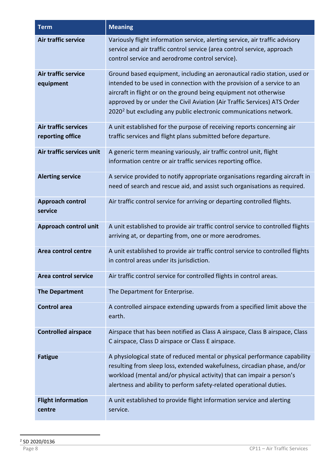<span id="page-7-0"></span>

| <b>Term</b>                                     | <b>Meaning</b>                                                                                                                                                                                                                                                                                                                                                                        |
|-------------------------------------------------|---------------------------------------------------------------------------------------------------------------------------------------------------------------------------------------------------------------------------------------------------------------------------------------------------------------------------------------------------------------------------------------|
| <b>Air traffic service</b>                      | Variously flight information service, alerting service, air traffic advisory<br>service and air traffic control service (area control service, approach<br>control service and aerodrome control service).                                                                                                                                                                            |
| <b>Air traffic service</b><br>equipment         | Ground based equipment, including an aeronautical radio station, used or<br>intended to be used in connection with the provision of a service to an<br>aircraft in flight or on the ground being equipment not otherwise<br>approved by or under the Civil Aviation (Air Traffic Services) ATS Order<br>2020 <sup>2</sup> but excluding any public electronic communications network. |
| <b>Air traffic services</b><br>reporting office | A unit established for the purpose of receiving reports concerning air<br>traffic services and flight plans submitted before departure.                                                                                                                                                                                                                                               |
|                                                 |                                                                                                                                                                                                                                                                                                                                                                                       |
| Air traffic services unit                       | A generic term meaning variously, air traffic control unit, flight<br>information centre or air traffic services reporting office.                                                                                                                                                                                                                                                    |
| <b>Alerting service</b>                         | A service provided to notify appropriate organisations regarding aircraft in<br>need of search and rescue aid, and assist such organisations as required.                                                                                                                                                                                                                             |
| <b>Approach control</b><br>service              | Air traffic control service for arriving or departing controlled flights.                                                                                                                                                                                                                                                                                                             |
| Approach control unit                           | A unit established to provide air traffic control service to controlled flights<br>arriving at, or departing from, one or more aerodromes.                                                                                                                                                                                                                                            |
| Area control centre                             | A unit established to provide air traffic control service to controlled flights<br>in control areas under its jurisdiction.                                                                                                                                                                                                                                                           |
| Area control service                            | Air traffic control service for controlled flights in control areas.                                                                                                                                                                                                                                                                                                                  |
| <b>The Department</b>                           | The Department for Enterprise.                                                                                                                                                                                                                                                                                                                                                        |
| <b>Control area</b>                             | A controlled airspace extending upwards from a specified limit above the<br>earth.                                                                                                                                                                                                                                                                                                    |
| <b>Controlled airspace</b>                      | Airspace that has been notified as Class A airspace, Class B airspace, Class<br>Cairspace, Class D airspace or Class E airspace.                                                                                                                                                                                                                                                      |
| <b>Fatigue</b>                                  | A physiological state of reduced mental or physical performance capability<br>resulting from sleep loss, extended wakefulness, circadian phase, and/or<br>workload (mental and/or physical activity) that can impair a person's<br>alertness and ability to perform safety-related operational duties.                                                                                |
| <b>Flight information</b><br>centre             | A unit established to provide flight information service and alerting<br>service.                                                                                                                                                                                                                                                                                                     |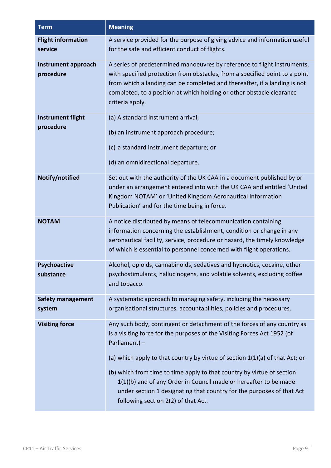| <b>Term</b>                           | <b>Meaning</b>                                                                                                                                                                                                                                                                                                                                                                                                                                                                                                       |
|---------------------------------------|----------------------------------------------------------------------------------------------------------------------------------------------------------------------------------------------------------------------------------------------------------------------------------------------------------------------------------------------------------------------------------------------------------------------------------------------------------------------------------------------------------------------|
| <b>Flight information</b><br>service  | A service provided for the purpose of giving advice and information useful<br>for the safe and efficient conduct of flights.                                                                                                                                                                                                                                                                                                                                                                                         |
| Instrument approach<br>procedure      | A series of predetermined manoeuvres by reference to flight instruments,<br>with specified protection from obstacles, from a specified point to a point<br>from which a landing can be completed and thereafter, if a landing is not<br>completed, to a position at which holding or other obstacle clearance<br>criteria apply.                                                                                                                                                                                     |
| <b>Instrument flight</b><br>procedure | (a) A standard instrument arrival;                                                                                                                                                                                                                                                                                                                                                                                                                                                                                   |
|                                       | (b) an instrument approach procedure;                                                                                                                                                                                                                                                                                                                                                                                                                                                                                |
|                                       | (c) a standard instrument departure; or                                                                                                                                                                                                                                                                                                                                                                                                                                                                              |
|                                       | (d) an omnidirectional departure.                                                                                                                                                                                                                                                                                                                                                                                                                                                                                    |
| Notify/notified                       | Set out with the authority of the UK CAA in a document published by or<br>under an arrangement entered into with the UK CAA and entitled 'United<br>Kingdom NOTAM' or 'United Kingdom Aeronautical Information<br>Publication' and for the time being in force.                                                                                                                                                                                                                                                      |
| <b>NOTAM</b>                          | A notice distributed by means of telecommunication containing<br>information concerning the establishment, condition or change in any<br>aeronautical facility, service, procedure or hazard, the timely knowledge<br>of which is essential to personnel concerned with flight operations.                                                                                                                                                                                                                           |
| Psychoactive<br>substance             | Alcohol, opioids, cannabinoids, sedatives and hypnotics, cocaine, other<br>psychostimulants, hallucinogens, and volatile solvents, excluding coffee<br>and tobacco.                                                                                                                                                                                                                                                                                                                                                  |
| <b>Safety management</b><br>system    | A systematic approach to managing safety, including the necessary<br>organisational structures, accountabilities, policies and procedures.                                                                                                                                                                                                                                                                                                                                                                           |
| <b>Visiting force</b>                 | Any such body, contingent or detachment of the forces of any country as<br>is a visiting force for the purposes of the Visiting Forces Act 1952 (of<br>Parliament) -<br>(a) which apply to that country by virtue of section $1(1)(a)$ of that Act; or<br>(b) which from time to time apply to that country by virtue of section<br>1(1)(b) and of any Order in Council made or hereafter to be made<br>under section 1 designating that country for the purposes of that Act<br>following section 2(2) of that Act. |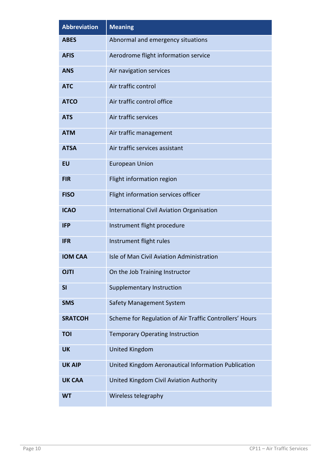| <b>Abbreviation</b> | <b>Meaning</b>                                          |
|---------------------|---------------------------------------------------------|
| <b>ABES</b>         | Abnormal and emergency situations                       |
| <b>AFIS</b>         | Aerodrome flight information service                    |
| <b>ANS</b>          | Air navigation services                                 |
| <b>ATC</b>          | Air traffic control                                     |
| <b>ATCO</b>         | Air traffic control office                              |
| <b>ATS</b>          | Air traffic services                                    |
| <b>ATM</b>          | Air traffic management                                  |
| <b>ATSA</b>         | Air traffic services assistant                          |
| <b>EU</b>           | <b>European Union</b>                                   |
| <b>FIR</b>          | Flight information region                               |
| <b>FISO</b>         | Flight information services officer                     |
| <b>ICAO</b>         | <b>International Civil Aviation Organisation</b>        |
| <b>IFP</b>          | Instrument flight procedure                             |
| <b>IFR</b>          | Instrument flight rules                                 |
| <b>IOM CAA</b>      | Isle of Man Civil Aviation Administration               |
| <b>OJTI</b>         | On the Job Training Instructor                          |
| SI                  | Supplementary Instruction                               |
| <b>SMS</b>          | <b>Safety Management System</b>                         |
| <b>SRATCOH</b>      | Scheme for Regulation of Air Traffic Controllers' Hours |
| TOI                 | <b>Temporary Operating Instruction</b>                  |
| <b>UK</b>           | <b>United Kingdom</b>                                   |
| <b>UK AIP</b>       | United Kingdom Aeronautical Information Publication     |
| <b>UK CAA</b>       | United Kingdom Civil Aviation Authority                 |
| <b>WT</b>           | Wireless telegraphy                                     |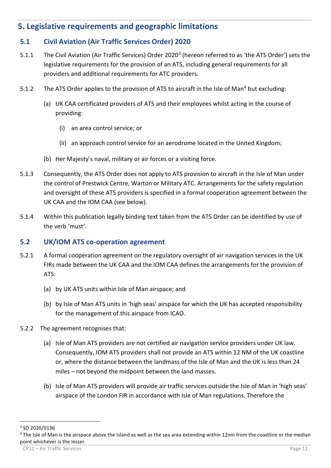# <span id="page-10-0"></span>**5. Legislative requirements and geographic limitations**

### <span id="page-10-1"></span>**5.1 Civil Aviation (Air Traffic Services Order) 2020**

- 5.1.1 The Civil Aviation (Air Traffic Services) Order 2020<sup>[3](#page-10-3)</sup> (hereon referred to as 'the ATS Order') sets the legislative requirements for the provision of an ATS, including general requirements for all providers and additional requirements for ATC providers.
- 5.1.2 The ATS Order applies to the provision of ATS to aircraft in the Isle of Man<sup>[4](#page-10-4)</sup> but excluding:
	- (a) UK CAA certificated providers of ATS and their employees whilst acting in the course of providing:
		- (i) an area control service; or
		- (ii) an approach control service for an aerodrome located in the United Kingdom;
	- (b) Her Majesty's naval, military or air forces or a visiting force.
- 5.1.3 Consequently, the ATS Order does not apply to ATS provision to aircraft in the Isle of Man under the control of Prestwick Centre, Warton or Military ATC. Arrangements for the safety regulation and oversight of these ATS providers is specified in a formal cooperation agreement between the UK CAA and the IOM CAA (see below).
- 5.1.4 Within this publication legally binding text taken from the ATS Order can be identified by use of the verb 'must'.

#### <span id="page-10-2"></span>**5.2 UK/IOM ATS co-operation agreement**

- 5.2.1 A formal cooperation agreement on the regulatory oversight of air navigation services in the UK FIRs made between the UK CAA and the IOM CAA defines the arrangements for the provision of ATS:
	- (a) by UK ATS units within Isle of Man airspace; and
	- (b) by Isle of Man ATS units in 'high seas' airspace for which the UK has accepted responsibility for the management of this airspace from ICAO.
- 5.2.2 The agreement recognises that:
	- (a) Isle of Man ATS providers are not certified air navigation service providers under UK law. Consequently, IOM ATS providers shall not provide an ATS within 12 NM of the UK coastline or, where the distance between the landmass of the Isle of Man and the UK is less than 24 miles – not beyond the midpoint between the land masses.
	- (b) Isle of Man ATS providers will provide air traffic services outside the Isle of Man in 'high seas' airspace of the London FIR in accordance with Isle of Man regulations. Therefore the

<span id="page-10-3"></span> <sup>3</sup> SD 2020/0136

<span id="page-10-4"></span><sup>&</sup>lt;sup>4</sup> The Isle of Man is the airspace above the Island as well as the sea area extending within 12nm from the coastline or the median point whichever is the lesser.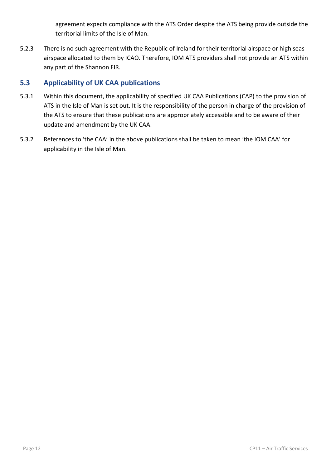agreement expects compliance with the ATS Order despite the ATS being provide outside the territorial limits of the Isle of Man.

5.2.3 There is no such agreement with the Republic of Ireland for their territorial airspace or high seas airspace allocated to them by ICAO. Therefore, IOM ATS providers shall not provide an ATS within any part of the Shannon FIR.

# <span id="page-11-0"></span>**5.3 Applicability of UK CAA publications**

- 5.3.1 Within this document, the applicability of specified UK CAA Publications (CAP) to the provision of ATS in the Isle of Man is set out. It is the responsibility of the person in charge of the provision of the ATS to ensure that these publications are appropriately accessible and to be aware of their update and amendment by the UK CAA.
- 5.3.2 References to 'the CAA' in the above publications shall be taken to mean 'the IOM CAA' for applicability in the Isle of Man.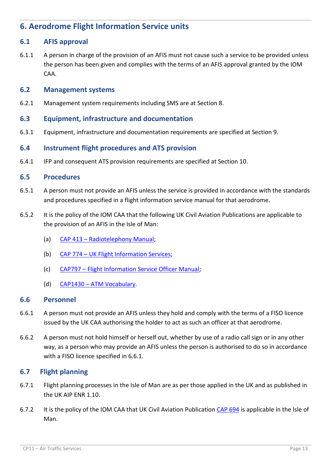# <span id="page-12-0"></span>**6. Aerodrome Flight Information Service units**

#### <span id="page-12-1"></span>**6.1 AFIS approval**

6.1.1 A person in charge of the provision of an AFIS must not cause such a service to be provided unless the person has been given and complies with the terms of an AFIS approval granted by the IOM CAA.

#### <span id="page-12-2"></span>**6.2 Management systems**

6.2.1 Management system requirements including SMS are at Section 8.

#### <span id="page-12-3"></span>**6.3 Equipment, infrastructure and documentation**

6.3.1 Equipment, infrastructure and documentation requirements are specified at Section 9.

#### <span id="page-12-4"></span>**6.4 Instrument flight procedures and ATS provision**

6.4.1 IFP and consequent ATS provision requirements are specified at Section 10.

#### <span id="page-12-5"></span>**6.5 Procedures**

- 6.5.1 A person must not provide an AFIS unless the service is provided in accordance with the standards and procedures specified in a flight information service manual for that aerodrome.
- 6.5.2 It is the policy of the IOM CAA that the following UK Civil Aviation Publications are applicable to the provision of an AFIS in the Isle of Man:
	- (a) CAP 413 [Radiotelephony Manual;](http://publicapps.caa.co.uk/modalapplication.aspx?catid=1&pagetype=65&appid=11&mode=detail&id=6973)
	- (b) CAP 774 [UK Flight Information Services;](http://publicapps.caa.co.uk/modalapplication.aspx?catid=1&pagetype=65&appid=11&mode=detail&id=7890)
	- (c) CAP797 [Flight Information Service Officer Manual;](http://publicapps.caa.co.uk/modalapplication.aspx?catid=1&pagetype=65&appid=11&mode=detail&id=7870)
	- (d) CAP1430 [ATM Vocabulary.](http://publicapps.caa.co.uk/modalapplication.aspx?catid=1&appid=11&mode=detail&id=8024)

#### <span id="page-12-6"></span>**6.6 Personnel**

- 6.6.1 A person must not provide an AFIS unless they hold and comply with the terms of a FISO licence issued by the UK CAA authorising the holder to act as such an officer at that aerodrome.
- 6.6.2 A person must not hold himself or herself out, whether by use of a radio call sign or in any other way, as a person who may provide an AFIS unless the person is authorised to do so in accordance with a FISO licence specified in 6.6.1.

#### <span id="page-12-7"></span>**6.7 Flight planning**

- 6.7.1 Flight planning processes in the Isle of Man are as per those applied in the UK and as published in the UK AIP ENR 1.10.
- 6.7.2 It is the policy of the IOM CAA that UK Civil Aviation Publication [CAP 694](https://publicapps.caa.co.uk/modalapplication.aspx?appid=11&mode=detail&id=2375) is applicable in the Isle of Man.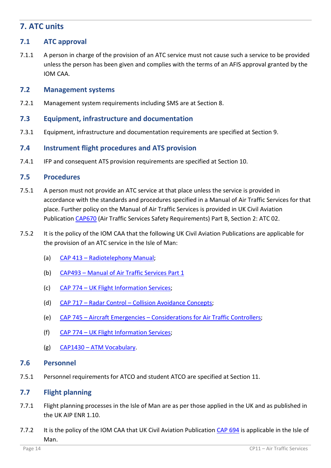# <span id="page-13-0"></span>**7. ATC units**

#### <span id="page-13-1"></span>**7.1 ATC approval**

7.1.1 A person in charge of the provision of an ATC service must not cause such a service to be provided unless the person has been given and complies with the terms of an AFIS approval granted by the IOM CAA.

#### <span id="page-13-2"></span>**7.2 Management systems**

7.2.1 Management system requirements including SMS are at Section 8.

#### <span id="page-13-3"></span>**7.3 Equipment, infrastructure and documentation**

7.3.1 Equipment, infrastructure and documentation requirements are specified at Section 9.

#### <span id="page-13-4"></span>**7.4 Instrument flight procedures and ATS provision**

7.4.1 IFP and consequent ATS provision requirements are specified at Section 10.

#### <span id="page-13-5"></span>**7.5 Procedures**

- 7.5.1 A person must not provide an ATC service at that place unless the service is provided in accordance with the standards and procedures specified in a Manual of Air Traffic Services for that place. Further policy on the Manual of Air Traffic Services is provided in UK Civil Aviation Publication [CAP670](http://publicapps.caa.co.uk/modalapplication.aspx?catid=1&pagetype=65&appid=11&mode=detail&id=9124) (Air Traffic Services Safety Requirements) Part B, Section 2: ATC 02.
- 7.5.2 It is the policy of the IOM CAA that the following UK Civil Aviation Publications are applicable for the provision of an ATC service in the Isle of Man:
	- (a) CAP 413 [Radiotelephony Manual;](http://publicapps.caa.co.uk/modalapplication.aspx?catid=1&pagetype=65&appid=11&mode=detail&id=6973)
	- (b) CAP493 [Manual of Air Traffic Services Part 1](https://publicapps.caa.co.uk/modalapplication.aspx?catid=1&pagetype=65&appid=11&mode=detail&id=6657)
	- (c) CAP 774 [UK Flight Information Services;](http://publicapps.caa.co.uk/modalapplication.aspx?catid=1&pagetype=65&appid=11&mode=detail&id=7890)
	- (d) CAP 717 Radar Control [Collision Avoidance Concepts;](http://publicapps.caa.co.uk/modalapplication.aspx?catid=1&pagetype=65&appid=11&mode=detail&id=286)
	- (e) CAP 745 Aircraft Emergencies [Considerations for Air Traffic Controllers;](http://publicapps.caa.co.uk/modalapplication.aspx?catid=1&pagetype=65&appid=11&mode=detail&id=1685)
	- (f) CAP 774 [UK Flight Information Services;](http://publicapps.caa.co.uk/modalapplication.aspx?catid=1&pagetype=65&appid=11&mode=detail&id=7890)
	- (g) CAP1430 [ATM Vocabulary.](http://publicapps.caa.co.uk/modalapplication.aspx?catid=1&appid=11&mode=detail&id=8024)

#### <span id="page-13-6"></span>**7.6 Personnel**

7.5.1 Personnel requirements for ATCO and student ATCO are specified at Section 11.

#### <span id="page-13-7"></span>**7.7 Flight planning**

- 7.7.1 Flight planning processes in the Isle of Man are as per those applied in the UK and as published in the UK AIP ENR 1.10.
- 7.7.2 It is the policy of the IOM CAA that UK Civil Aviation Publication [CAP 694](https://publicapps.caa.co.uk/modalapplication.aspx?appid=11&mode=detail&id=2375) is applicable in the Isle of Man.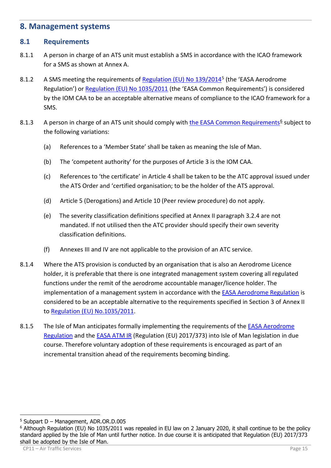## <span id="page-14-0"></span>**8. Management systems**

#### <span id="page-14-1"></span>**8.1 Requirements**

- 8.1.1 A person in charge of an ATS unit must establish a SMS in accordance with the ICAO framework for a SMS as shown at Annex A.
- 8.1.2 A SMS meeting the requirements of [Regulation \(EU\) No 139/2014](https://www.easa.europa.eu/sites/default/files/dfu/Easy_Access_Rules_for_Aerodromes-May2019_0.pdf)<sup>[5](#page-14-2)</sup> (the 'EASA Aerodrome Regulation') or [Regulation \(EU\) No 1035/2011](https://eur-lex.europa.eu/LexUriServ/LexUriServ.do?uri=OJ:L:2011:271:0023:0041:EN:PDF) (the 'EASA Common Requirements') is considered by the IOM CAA to be an acceptable alternative means of compliance to the ICAO framework for a SMS.
- 8.1.3 A person in charge of an ATS unit should comply wit[h the EASA Common Requirements](https://eur-lex.europa.eu/LexUriServ/LexUriServ.do?uri=OJ:L:2011:271:0023:0041:EN:PDF)<sup>[6](#page-14-3)</sup> subject to the following variations:
	- (a) References to a 'Member State' shall be taken as meaning the Isle of Man.
	- (b) The 'competent authority' for the purposes of Article 3 is the IOM CAA.
	- (c) References to 'the certificate' in Article 4 shall be taken to be the ATC approval issued under the ATS Order and 'certified organisation; to be the holder of the ATS approval.
	- (d) Article 5 (Derogations) and Article 10 (Peer review procedure) do not apply.
	- (e) The severity classification definitions specified at Annex II paragraph 3.2.4 are not mandated. If not utilised then the ATC provider should specify their own severity classification definitions.
	- (f) Annexes III and IV are not applicable to the provision of an ATC service.
- 8.1.4 Where the ATS provision is conducted by an organisation that is also an Aerodrome Licence holder, it is preferable that there is one integrated management system covering all regulated functions under the remit of the aerodrome accountable manager/licence holder. The implementation of a management system in accordance with the **EASA Aerodrome Regulation** is considered to be an acceptable alternative to the requirements specified in Section 3 of Annex II t[o Regulation \(EU\) No.1035/2011.](https://eur-lex.europa.eu/LexUriServ/LexUriServ.do?uri=OJ:L:2011:271:0023:0041:EN:PDF)
- 8.1.5 The Isle of Man anticipates formally implementing the requirements of the [EASA Aerodrome](https://www.easa.europa.eu/sites/default/files/dfu/Easy_Access_Rules_for_Aerodromes-May2019_0.pdf)  [Regulation](https://www.easa.europa.eu/sites/default/files/dfu/Easy_Access_Rules_for_Aerodromes-May2019_0.pdf) and th[e EASA ATM IR](https://www.easa.europa.eu/document-library/easy-access-rules/easy-access-rules-air-traffic-managementair-navigation-services) (Regulation (EU) 2017/373) into Isle of Man legislation in due course. Therefore voluntary adoption of these requirements is encouraged as part of an incremental transition ahead of the requirements becoming binding.

1

<span id="page-14-2"></span><sup>5</sup> Subpart D – Management, ADR.OR.D.005

<span id="page-14-3"></span><sup>6</sup> Although Regulation (EU) No 1035/2011 was repealed in EU law on 2 January 2020, it shall continue to be the policy standard applied by the Isle of Man until further notice. In due course it is anticipated that Regulation (EU) 2017/373 shall be adopted by the Isle of Man.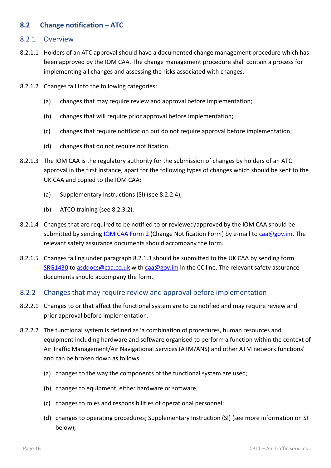#### <span id="page-15-0"></span>**8.2 Change notification – ATC**

#### 8.2.1 Overview

- 8.2.1.1 Holders of an ATC approval should have a documented change management procedure which has been approved by the IOM CAA. The change management procedure shall contain a process for implementing all changes and assessing the risks associated with changes.
- 8.2.1.2 Changes fall into the following categories:
	- (a) changes that may require review and approval before implementation;
	- (b) changes that will require prior approval before implementation;
	- (c) changes that require notification but do not require approval before implementation;
	- (d) changes that do not require notification.
- 8.2.1.3 The IOM CAA is the regulatory authority for the submission of changes by holders of an ATC approval in the first instance, apart for the following types of changes which should be sent to the UK CAA and copied to the IOM CAA:
	- (a) Supplementary Instructions (SI) (see 8.2.2.4);
	- (b) ATCO training (see 8.2.3.2).
- 8.2.1.4 Changes that are required to be notified to or reviewed/approved by the IOM CAA should be submitted by sending [IOM CAA Form 2](https://www.gov.im/media/1360301/caa-form-2-231219.pdf) (Change Notification Form) by e-mail to [caa@gov.im.](mailto:caa@gov.im) The relevant safety assurance documents should accompany the form.
- 8.2.1.5 Changes falling under paragraph 8.2.1.3 should be submitted to the UK CAA by sending form [SRG1430](https://publicapps.caa.co.uk/modalapplication.aspx?appid=11&mode=detail&id=8272) to [asddocs@caa.co.uk](mailto:asddocs@caa.co.uk) with [caa@gov.im](mailto:caa@gov.im) in the CC line. The relevant safety assurance documents should accompany the form.

#### 8.2.2 Changes that may require review and approval before implementation

- 8.2.2.1 Changes to or that affect the functional system are to be notified and may require review and prior approval before implementation.
- 8.2.2.2 The functional system is defined as 'a combination of procedures, human resources and equipment including hardware and software organised to perform a function within the context of Air Traffic Management/Air Navigational Services (ATM/ANS) and other ATM network functions' and can be broken down as follows:
	- (a) changes to the way the components of the functional system are used;
	- (b) changes to equipment, either hardware or software;
	- (c) changes to roles and responsibilities of operational personnel;
	- (d) changes to operating procedures; Supplementary Instruction (SI) (see more information on SI below);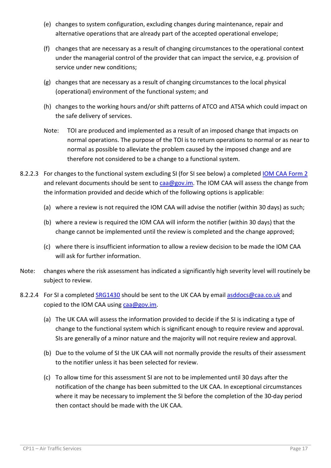- (e) changes to system configuration, excluding changes during maintenance, repair and alternative operations that are already part of the accepted operational envelope;
- (f) changes that are necessary as a result of changing circumstances to the operational context under the managerial control of the provider that can impact the service, e.g. provision of service under new conditions;
- (g) changes that are necessary as a result of changing circumstances to the local physical (operational) environment of the functional system; and
- (h) changes to the working hours and/or shift patterns of ATCO and ATSA which could impact on the safe delivery of services.
- Note: TOI are produced and implemented as a result of an imposed change that impacts on normal operations. The purpose of the TOI is to return operations to normal or as near to normal as possible to alleviate the problem caused by the imposed change and are therefore not considered to be a change to a functional system.
- 8.2.2.3 For changes to the functional system excluding SI (for SI see below) a completed [IOM CAA Form 2](https://www.gov.im/media/1360301/caa-form-2-231219.pdf) and relevant documents should be sent to [caa@gov.im.](mailto:caa@gov.im) The IOM CAA will assess the change from the information provided and decide which of the following options is applicable:
	- (a) where a review is not required the IOM CAA will advise the notifier (within 30 days) as such;
	- (b) where a review is required the IOM CAA will inform the notifier (within 30 days) that the change cannot be implemented until the review is completed and the change approved;
	- (c) where there is insufficient information to allow a review decision to be made the IOM CAA will ask for further information.
- Note: changes where the risk assessment has indicated a significantly high severity level will routinely be subject to review.
- 8.2.2.4 For SI a completed [SRG1430](https://publicapps.caa.co.uk/modalapplication.aspx?appid=11&mode=detail&id=8272) should be sent to the UK CAA by email [asddocs@caa.co.uk](mailto:asddocs@caa.co.uk) and copied to the IOM CAA using [caa@gov.im.](mailto:caa@gov.im)
	- (a) The UK CAA will assess the information provided to decide if the SI is indicating a type of change to the functional system which is significant enough to require review and approval. SIs are generally of a minor nature and the majority will not require review and approval.
	- (b) Due to the volume of SI the UK CAA will not normally provide the results of their assessment to the notifier unless it has been selected for review.
	- (c) To allow time for this assessment SI are not to be implemented until 30 days after the notification of the change has been submitted to the UK CAA. In exceptional circumstances where it may be necessary to implement the SI before the completion of the 30-day period then contact should be made with the UK CAA.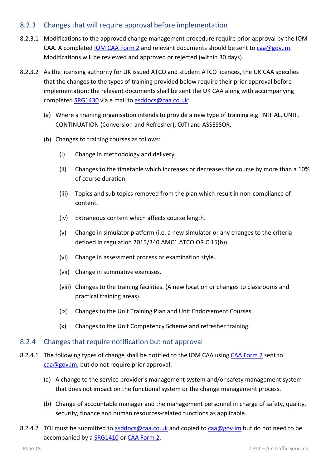#### 8.2.3 Changes that will require approval before implementation

- 8.2.3.1 Modifications to the approved change management procedure require prior approval by the IOM CAA. A completed **IOM CAA Form 2** and relevant documents should be sent to  $\overline{caa@gov(im}$ . Modifications will be reviewed and approved or rejected (within 30 days).
- 8.2.3.2 As the licensing authority for UK issued ATCO and student ATCO licences, the UK CAA specifies that the changes to the types of training provided below require their prior approval before implementation; the relevant documents shall be sent the UK CAA along with accompanying completed [SRG1430](https://publicapps.caa.co.uk/modalapplication.aspx?appid=11&mode=detail&id=8272) via e mail to [asddocs@caa.co.uk:](mailto:asddocs@caa.co.uk)
	- (a) Where a training organisation intends to provide a new type of training e.g. INITIAL, UNIT, CONTINUATION (Conversion and Refresher), OJTI and ASSESSOR.
	- (b) Changes to training courses as follows:
		- (i) Change in methodology and delivery.
		- (ii) Changes to the timetable which increases or decreases the course by more than a 10% of course duration.
		- (iii) Topics and sub topics removed from the plan which result in non-compliance of content.
		- (iv) Extraneous content which affects course length.
		- (v) Change in simulator platform (i.e. a new simulator or any changes to the criteria defined in regulation 2015/340 AMC1 ATCO.OR.C.15(b)).
		- (vi) Change in assessment process or examination style.
		- (vii) Change in summative exercises.
		- (viii) Changes to the training facilities. (A new location or changes to classrooms and practical training areas).
		- (ix) Changes to the Unit Training Plan and Unit Endorsement Courses.
		- (x) Changes to the Unit Competency Scheme and refresher training.

#### 8.2.4 Changes that require notification but not approval

- 8.2.4.1 The following types of change shall be notified to the IOM CAA using [CAA Form 2](https://www.gov.im/media/1360301/caa-form-2-231219.pdf) sent to [caa@gov.im,](mailto:caa@gov.im) but do not require prior approval:
	- (a) A change to the service provider's management system and/or safety management system that does not impact on the functional system or the change management process.
	- (b) Change of accountable manager and the management personnel in charge of safety, quality, security, finance and human resources-related functions as applicable.
- 8.2.4.2 TOI must be submitted to [asddocs@caa.co.uk](mailto:asddocs@caa.co.uk) and copied to [caa@gov.im](mailto:caa@gov.im) but do not need to be accompanied by a [SRG1410](https://publicapps.caa.co.uk/modalapplication.aspx?appid=11&mode=detail&id=8272) or [CAA Form 2.](https://www.gov.im/media/1360301/caa-form-2-231219.pdf)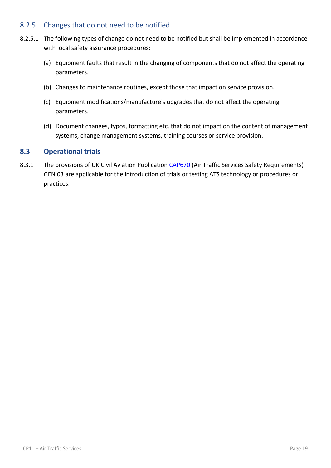#### 8.2.5 Changes that do not need to be notified

- 8.2.5.1 The following types of change do not need to be notified but shall be implemented in accordance with local safety assurance procedures:
	- (a) Equipment faults that result in the changing of components that do not affect the operating parameters.
	- (b) Changes to maintenance routines, except those that impact on service provision.
	- (c) Equipment modifications/manufacture's upgrades that do not affect the operating parameters.
	- (d) Document changes, typos, formatting etc. that do not impact on the content of management systems, change management systems, training courses or service provision.

#### <span id="page-18-0"></span>**8.3 Operational trials**

8.3.1 The provisions of UK Civil Aviation Publication [CAP670](http://publicapps.caa.co.uk/modalapplication.aspx?catid=1&pagetype=65&appid=11&mode=detail&id=9124) (Air Traffic Services Safety Requirements) GEN 03 are applicable for the introduction of trials or testing ATS technology or procedures or practices.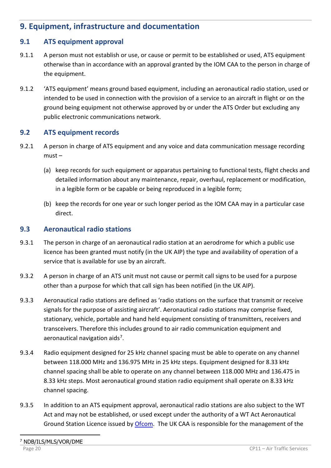# <span id="page-19-0"></span>**9. Equipment, infrastructure and documentation**

#### <span id="page-19-1"></span>**9.1 ATS equipment approval**

- 9.1.1 A person must not establish or use, or cause or permit to be established or used, ATS equipment otherwise than in accordance with an approval granted by the IOM CAA to the person in charge of the equipment.
- 9.1.2 'ATS equipment' means ground based equipment, including an aeronautical radio station, used or intended to be used in connection with the provision of a service to an aircraft in flight or on the ground being equipment not otherwise approved by or under the ATS Order but excluding any public electronic communications network.

#### <span id="page-19-2"></span>**9.2 ATS equipment records**

- 9.2.1 A person in charge of ATS equipment and any voice and data communication message recording must –
	- (a) keep records for such equipment or apparatus pertaining to functional tests, flight checks and detailed information about any maintenance, repair, overhaul, replacement or modification, in a legible form or be capable or being reproduced in a legible form;
	- (b) keep the records for one year or such longer period as the IOM CAA may in a particular case direct.

#### <span id="page-19-3"></span>**9.3 Aeronautical radio stations**

- 9.3.1 The person in charge of an aeronautical radio station at an aerodrome for which a public use licence has been granted must notify (in the UK AIP) the type and availability of operation of a service that is available for use by an aircraft.
- 9.3.2 A person in charge of an ATS unit must not cause or permit call signs to be used for a purpose other than a purpose for which that call sign has been notified (in the UK AIP).
- 9.3.3 Aeronautical radio stations are defined as 'radio stations on the surface that transmit or receive signals for the purpose of assisting aircraft'. Aeronautical radio stations may comprise fixed, stationary, vehicle, portable and hand held equipment consisting of transmitters, receivers and transceivers. Therefore this includes ground to air radio communication equipment and aeronautical navigation aids[7](#page-19-4).
- 9.3.4 Radio equipment designed for 25 kHz channel spacing must be able to operate on any channel between 118.000 MHz and 136.975 MHz in 25 kHz steps. Equipment designed for 8.33 kHz channel spacing shall be able to operate on any channel between 118.000 MHz and 136.475 in 8.33 kHz steps. Most aeronautical ground station radio equipment shall operate on 8.33 kHz channel spacing.
- <span id="page-19-4"></span>9.3.5 In addition to an ATS equipment approval, aeronautical radio stations are also subject to the WT Act and may not be established, or used except under the authority of a WT Act Aeronautical Ground Station Licence issued by [Ofcom.](https://www.ofcom.org.uk/manage-your-licence/radiocommunication-licences/aeronautical-licensing) The UK CAA is responsible for the management of the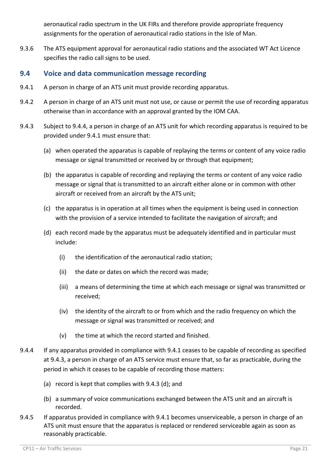aeronautical radio spectrum in the UK FIRs and therefore provide appropriate frequency assignments for the operation of aeronautical radio stations in the Isle of Man.

9.3.6 The ATS equipment approval for aeronautical radio stations and the associated WT Act Licence specifies the radio call signs to be used.

#### <span id="page-20-0"></span>**9.4 Voice and data communication message recording**

- 9.4.1 A person in charge of an ATS unit must provide recording apparatus.
- 9.4.2 A person in charge of an ATS unit must not use, or cause or permit the use of recording apparatus otherwise than in accordance with an approval granted by the IOM CAA.
- 9.4.3 Subject to 9.4.4, a person in charge of an ATS unit for which recording apparatus is required to be provided under 9.4.1 must ensure that:
	- (a) when operated the apparatus is capable of replaying the terms or content of any voice radio message or signal transmitted or received by or through that equipment;
	- (b) the apparatus is capable of recording and replaying the terms or content of any voice radio message or signal that is transmitted to an aircraft either alone or in common with other aircraft or received from an aircraft by the ATS unit;
	- (c) the apparatus is in operation at all times when the equipment is being used in connection with the provision of a service intended to facilitate the navigation of aircraft; and
	- (d) each record made by the apparatus must be adequately identified and in particular must include:
		- (i) the identification of the aeronautical radio station;
		- (ii) the date or dates on which the record was made;
		- (iii) a means of determining the time at which each message or signal was transmitted or received;
		- (iv) the identity of the aircraft to or from which and the radio frequency on which the message or signal was transmitted or received; and
		- (v) the time at which the record started and finished.
- 9.4.4 If any apparatus provided in compliance with 9.4.1 ceases to be capable of recording as specified at 9.4.3, a person in charge of an ATS service must ensure that, so far as practicable, during the period in which it ceases to be capable of recording those matters:
	- (a) record is kept that complies with 9.4.3 (d); and
	- (b) a summary of voice communications exchanged between the ATS unit and an aircraft is recorded.
- 9.4.5 If apparatus provided in compliance with 9.4.1 becomes unserviceable, a person in charge of an ATS unit must ensure that the apparatus is replaced or rendered serviceable again as soon as reasonably practicable.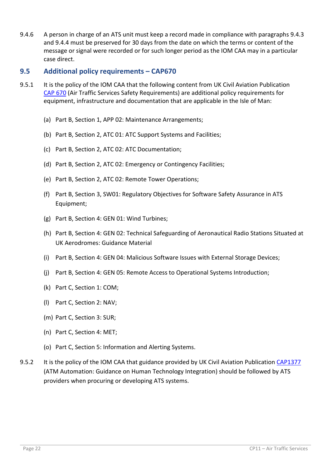9.4.6 A person in charge of an ATS unit must keep a record made in compliance with paragraphs 9.4.3 and 9.4.4 must be preserved for 30 days from the date on which the terms or content of the message or signal were recorded or for such longer period as the IOM CAA may in a particular case direct.

#### <span id="page-21-0"></span>**9.5 Additional policy requirements – CAP670**

- 9.5.1 It is the policy of the IOM CAA that the following content from UK Civil Aviation Publication [CAP](http://publicapps.caa.co.uk/modalapplication.aspx?catid=1&pagetype=65&appid=11&mode=detail&id=9124) 670 (Air Traffic Services Safety Requirements) are additional policy requirements for equipment, infrastructure and documentation that are applicable in the Isle of Man:
	- (a) Part B, Section 1, APP 02: Maintenance Arrangements;
	- (b) Part B, Section 2, ATC 01: ATC Support Systems and Facilities;
	- (c) Part B, Section 2, ATC 02: ATC Documentation;
	- (d) Part B, Section 2, ATC 02: Emergency or Contingency Facilities;
	- (e) Part B, Section 2, ATC 02: Remote Tower Operations;
	- (f) Part B, Section 3, SW01: Regulatory Objectives for Software Safety Assurance in ATS Equipment;
	- (g) Part B, Section 4: GEN 01: Wind Turbines;
	- (h) Part B, Section 4: GEN 02: Technical Safeguarding of Aeronautical Radio Stations Situated at UK Aerodromes: Guidance Material
	- (i) Part B, Section 4: GEN 04: Malicious Software Issues with External Storage Devices;
	- (j) Part B, Section 4: GEN 05: Remote Access to Operational Systems Introduction;
	- (k) Part C, Section 1: COM;
	- (l) Part C, Section 2: NAV;
	- (m) Part C, Section 3: SUR;
	- (n) Part C, Section 4: MET;
	- (o) Part C, Section 5: Information and Alerting Systems.
- 9.5.2 It is the policy of the IOM CAA that guidance provided by UK Civil Aviation Publication [CAP1377](https://publicapps.caa.co.uk/modalapplication.aspx?catid=1&pagetype=65&appid=11&mode=detail&id=7237) (ATM Automation: Guidance on Human Technology Integration) should be followed by ATS providers when procuring or developing ATS systems.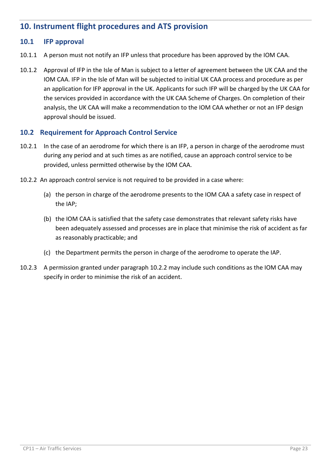# <span id="page-22-0"></span>**10. Instrument flight procedures and ATS provision**

#### <span id="page-22-1"></span>**10.1 IFP approval**

- 10.1.1 A person must not notify an IFP unless that procedure has been approved by the IOM CAA.
- 10.1.2 Approval of IFP in the Isle of Man is subject to a letter of agreement between the UK CAA and the IOM CAA. IFP in the Isle of Man will be subjected to initial UK CAA process and procedure as per an application for IFP approval in the UK. Applicants for such IFP will be charged by the UK CAA for the services provided in accordance with the UK CAA Scheme of Charges. On completion of their analysis, the UK CAA will make a recommendation to the IOM CAA whether or not an IFP design approval should be issued.

#### <span id="page-22-2"></span>**10.2 Requirement for Approach Control Service**

- 10.2.1 In the case of an aerodrome for which there is an IFP, a person in charge of the aerodrome must during any period and at such times as are notified, cause an approach control service to be provided, unless permitted otherwise by the IOM CAA.
- 10.2.2 An approach control service is not required to be provided in a case where:
	- (a) the person in charge of the aerodrome presents to the IOM CAA a safety case in respect of the IAP;
	- (b) the IOM CAA is satisfied that the safety case demonstrates that relevant safety risks have been adequately assessed and processes are in place that minimise the risk of accident as far as reasonably practicable; and
	- (c) the Department permits the person in charge of the aerodrome to operate the IAP.
- 10.2.3 A permission granted under paragraph 10.2.2 may include such conditions as the IOM CAA may specify in order to minimise the risk of an accident.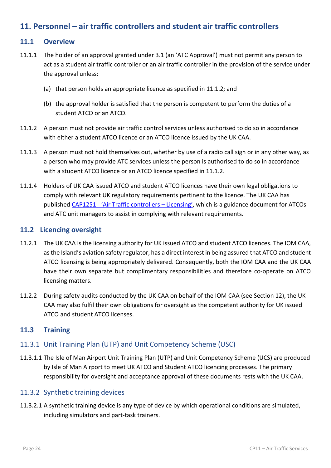### <span id="page-23-0"></span>**11. Personnel – air traffic controllers and student air traffic controllers**

#### <span id="page-23-1"></span>**11.1 Overview**

- 11.1.1 The holder of an approval granted under 3.1 (an 'ATC Approval') must not permit any person to act as a student air traffic controller or an air traffic controller in the provision of the service under the approval unless:
	- (a) that person holds an appropriate licence as specified in 11.1.2; and
	- (b) the approval holder is satisfied that the person is competent to perform the duties of a student ATCO or an ATCO.
- 11.1.2 A person must not provide air traffic control services unless authorised to do so in accordance with either a student ATCO licence or an ATCO licence issued by the UK CAA.
- 11.1.3 A person must not hold themselves out, whether by use of a radio call sign or in any other way, as a person who may provide ATC services unless the person is authorised to do so in accordance with a student ATCO licence or an ATCO licence specified in 11.1.2.
- 11.1.4 Holders of UK CAA issued ATCO and student ATCO licences have their own legal obligations to comply with relevant UK regulatory requirements pertinent to the licence. The UK CAA has published CAP1251 - ['Air Traffic controllers –](http://publicapps.caa.co.uk/modalapplication.aspx?catid=1&pagetype=65&appid=11&mode=detail&id=7457) Licensing', which is a guidance document for ATCOs and ATC unit managers to assist in complying with relevant requirements.

#### <span id="page-23-2"></span>**11.2 Licencing oversight**

- 11.2.1 The UK CAA is the licensing authority for UK issued ATCO and student ATCO licences. The IOM CAA, as the Island's aviation safety regulator, has a direct interest in being assured that ATCO and student ATCO licensing is being appropriately delivered. Consequently, both the IOM CAA and the UK CAA have their own separate but complimentary responsibilities and therefore co-operate on ATCO licensing matters.
- 11.2.2 During safety audits conducted by the UK CAA on behalf of the IOM CAA (see Section 12), the UK CAA may also fulfil their own obligations for oversight as the competent authority for UK issued ATCO and student ATCO licenses.

#### <span id="page-23-3"></span>**11.3 Training**

#### 11.3.1 Unit Training Plan (UTP) and Unit Competency Scheme (USC)

11.3.1.1 The Isle of Man Airport Unit Training Plan (UTP) and Unit Competency Scheme (UCS) are produced by Isle of Man Airport to meet UK ATCO and Student ATCO licencing processes. The primary responsibility for oversight and acceptance approval of these documents rests with the UK CAA.

#### 11.3.2 Synthetic training devices

11.3.2.1 A synthetic training device is any type of device by which operational conditions are simulated, including simulators and part-task trainers.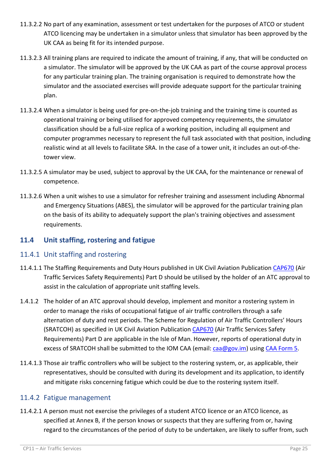- 11.3.2.2 No part of any examination, assessment or test undertaken for the purposes of ATCO or student ATCO licencing may be undertaken in a simulator unless that simulator has been approved by the UK CAA as being fit for its intended purpose.
- 11.3.2.3 All training plans are required to indicate the amount of training, if any, that will be conducted on a simulator. The simulator will be approved by the UK CAA as part of the course approval process for any particular training plan. The training organisation is required to demonstrate how the simulator and the associated exercises will provide adequate support for the particular training plan.
- 11.3.2.4 When a simulator is being used for pre-on-the-job training and the training time is counted as operational training or being utilised for approved competency requirements, the simulator classification should be a full-size replica of a working position, including all equipment and computer programmes necessary to represent the full task associated with that position, including realistic wind at all levels to facilitate SRA. In the case of a tower unit, it includes an out-of-thetower view.
- 11.3.2.5 A simulator may be used, subject to approval by the UK CAA, for the maintenance or renewal of competence.
- 11.3.2.6 When a unit wishes to use a simulator for refresher training and assessment including Abnormal and Emergency Situations (ABES), the simulator will be approved for the particular training plan on the basis of its ability to adequately support the plan's training objectives and assessment requirements.

#### <span id="page-24-0"></span>**11.4 Unit staffing, rostering and fatigue**

#### 11.4.1 Unit staffing and rostering

- 11.4.1.1 The Staffing Requirements and Duty Hours published in UK Civil Aviation Publication [CAP670](http://publicapps.caa.co.uk/modalapplication.aspx?catid=1&pagetype=65&appid=11&mode=detail&id=9124) (Air Traffic Services Safety Requirements) Part D should be utilised by the holder of an ATC approval to assist in the calculation of appropriate unit staffing levels.
- 1.4.1.2 The holder of an ATC approval should develop, implement and monitor a rostering system in order to manage the risks of occupational fatigue of air traffic controllers through a safe alternation of duty and rest periods. The Scheme for Regulation of Air Traffic Controllers' Hours (SRATCOH) as specified in UK Civil Aviation Publication [CAP670](http://publicapps.caa.co.uk/modalapplication.aspx?catid=1&pagetype=65&appid=11&mode=detail&id=9124) (Air Traffic Services Safety Requirements) Part D are applicable in the Isle of Man. However, reports of operational duty in excess of SRATCOH shall be submitted to the IOM CAA (email: [caa@gov.im\)](mailto:caa@gov.im) using [CAA Form 5.](https://www.gov.im/media/1370364/caa-form-5.pdf)
- 11.4.1.3 Those air traffic controllers who will be subject to the rostering system, or, as applicable, their representatives, should be consulted with during its development and its application, to identify and mitigate risks concerning fatigue which could be due to the rostering system itself.

#### 11.4.2 Fatigue management

11.4.2.1 A person must not exercise the privileges of a student ATCO licence or an ATCO licence, as specified at Annex B, if the person knows or suspects that they are suffering from or, having regard to the circumstances of the period of duty to be undertaken, are likely to suffer from, such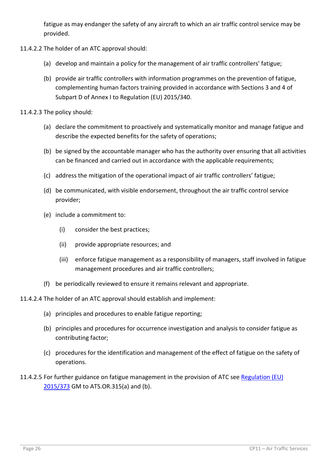fatigue as may endanger the safety of any aircraft to which an air traffic control service may be provided.

- 11.4.2.2 The holder of an ATC approval should:
	- (a) develop and maintain a policy for the management of air traffic controllers' fatigue;
	- (b) provide air traffic controllers with information programmes on the prevention of fatigue, complementing human factors training provided in accordance with Sections 3 and 4 of Subpart D of Annex I to Regulation (EU) 2015/340.
- 11.4.2.3 The policy should:
	- (a) declare the commitment to proactively and systematically monitor and manage fatigue and describe the expected benefits for the safety of operations;
	- (b) be signed by the accountable manager who has the authority over ensuring that all activities can be financed and carried out in accordance with the applicable requirements;
	- (c) address the mitigation of the operational impact of air traffic controllers' fatigue;
	- (d) be communicated, with visible endorsement, throughout the air traffic control service provider;
	- (e) include a commitment to:
		- (i) consider the best practices;
		- (ii) provide appropriate resources; and
		- (iii) enforce fatigue management as a responsibility of managers, staff involved in fatigue management procedures and air traffic controllers;
	- (f) be periodically reviewed to ensure it remains relevant and appropriate.
- 11.4.2.4 The holder of an ATC approval should establish and implement:
	- (a) principles and procedures to enable fatigue reporting;
	- (b) principles and procedures for occurrence investigation and analysis to consider fatigue as contributing factor;
	- (c) procedures for the identification and management of the effect of fatigue on the safety of operations.
- 11.4.2.5 For further guidance on fatigue management in the provision of ATC se[e Regulation \(EU\)](https://www.easa.europa.eu/document-library/easy-access-rules/easy-access-rules-air-traffic-managementair-navigation-services)  [2015/373](https://www.easa.europa.eu/document-library/easy-access-rules/easy-access-rules-air-traffic-managementair-navigation-services) GM to ATS.OR.315(a) and (b).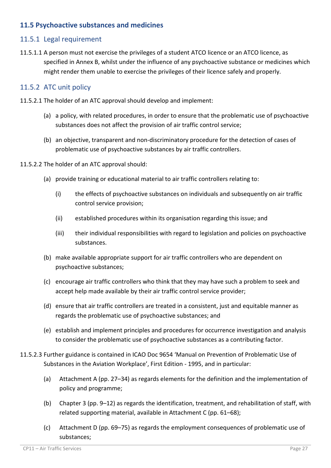#### <span id="page-26-0"></span>**11.5 Psychoactive substances and medicines**

#### 11.5.1 Legal requirement

11.5.1.1 A person must not exercise the privileges of a student ATCO licence or an ATCO licence, as specified in Annex B, whilst under the influence of any psychoactive substance or medicines which might render them unable to exercise the privileges of their licence safely and properly.

#### 11.5.2 ATC unit policy

- 11.5.2.1 The holder of an ATC approval should develop and implement:
	- (a) a policy, with related procedures, in order to ensure that the problematic use of psychoactive substances does not affect the provision of air traffic control service;
	- (b) an objective, transparent and non-discriminatory procedure for the detection of cases of problematic use of psychoactive substances by air traffic controllers.

#### 11.5.2.2 The holder of an ATC approval should:

- (a) provide training or educational material to air traffic controllers relating to:
	- (i) the effects of psychoactive substances on individuals and subsequently on air traffic control service provision;
	- (ii) established procedures within its organisation regarding this issue; and
	- (iii) their individual responsibilities with regard to legislation and policies on psychoactive substances.
- (b) make available appropriate support for air traffic controllers who are dependent on psychoactive substances;
- (c) encourage air traffic controllers who think that they may have such a problem to seek and accept help made available by their air traffic control service provider;
- (d) ensure that air traffic controllers are treated in a consistent, just and equitable manner as regards the problematic use of psychoactive substances; and
- (e) establish and implement principles and procedures for occurrence investigation and analysis to consider the problematic use of psychoactive substances as a contributing factor.
- 11.5.2.3 Further guidance is contained in ICAO Doc 9654 'Manual on Prevention of Problematic Use of Substances in the Aviation Workplace', First Edition - 1995, and in particular:
	- (a) Attachment A (pp. 27–34) as regards elements for the definition and the implementation of policy and programme;
	- (b) Chapter 3 (pp. 9–12) as regards the identification, treatment, and rehabilitation of staff, with related supporting material, available in Attachment C (pp. 61–68);
	- (c) Attachment D (pp. 69–75) as regards the employment consequences of problematic use of substances;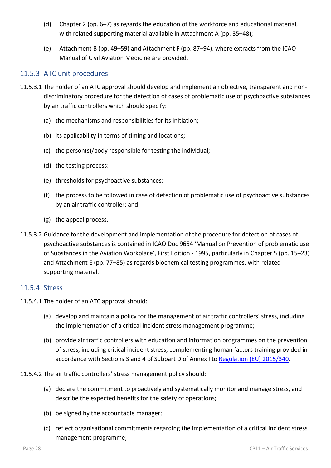- (d) Chapter 2 (pp. 6–7) as regards the education of the workforce and educational material, with related supporting material available in Attachment A (pp. 35–48);
- (e) Attachment B (pp. 49–59) and Attachment F (pp. 87–94), where extracts from the ICAO Manual of Civil Aviation Medicine are provided.

#### 11.5.3 ATC unit procedures

- 11.5.3.1 The holder of an ATC approval should develop and implement an objective, transparent and nondiscriminatory procedure for the detection of cases of problematic use of psychoactive substances by air traffic controllers which should specify:
	- (a) the mechanisms and responsibilities for its initiation;
	- (b) its applicability in terms of timing and locations;
	- (c) the person(s)/body responsible for testing the individual;
	- (d) the testing process;
	- (e) thresholds for psychoactive substances;
	- (f) the process to be followed in case of detection of problematic use of psychoactive substances by an air traffic controller; and
	- (g) the appeal process.
- 11.5.3.2 Guidance for the development and implementation of the procedure for detection of cases of psychoactive substances is contained in ICAO Doc 9654 'Manual on Prevention of problematic use of Substances in the Aviation Workplace', First Edition - 1995, particularly in Chapter 5 (pp. 15–23) and Attachment E (pp. 77–85) as regards biochemical testing programmes, with related supporting material.

#### 11.5.4 Stress

- 11.5.4.1 The holder of an ATC approval should:
	- (a) develop and maintain a policy for the management of air traffic controllers' stress, including the implementation of a critical incident stress management programme;
	- (b) provide air traffic controllers with education and information programmes on the prevention of stress, including critical incident stress, complementing human factors training provided in accordance with Sections 3 and 4 of Subpart D of Annex I t[o Regulation \(EU\) 2015/340.](https://www.easa.europa.eu/document-library/easy-access-rules/easy-access-rules-air-traffic-controllers-licensing-and)
- 11.5.4.2 The air traffic controllers' stress management policy should:
	- (a) declare the commitment to proactively and systematically monitor and manage stress, and describe the expected benefits for the safety of operations;
	- (b) be signed by the accountable manager;
	- (c) reflect organisational commitments regarding the implementation of a critical incident stress management programme;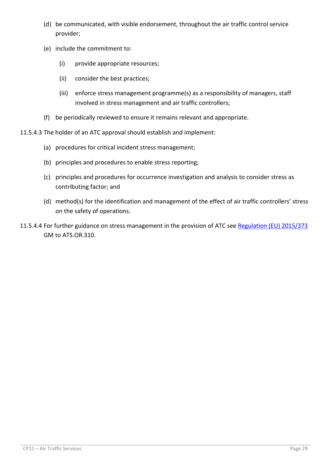- (d) be communicated, with visible endorsement, throughout the air traffic control service provider;
- (e) include the commitment to:
	- (i) provide appropriate resources;
	- (ii) consider the best practices;
	- (iii) enforce stress management programme(s) as a responsibility of managers, staff involved in stress management and air traffic controllers;
- (f) be periodically reviewed to ensure it remains relevant and appropriate.
- 11.5.4.3 The holder of an ATC approval should establish and implement:
	- (a) procedures for critical incident stress management;
	- (b) principles and procedures to enable stress reporting;
	- (c) principles and procedures for occurrence investigation and analysis to consider stress as contributing factor; and
	- (d) method(s) for the identification and management of the effect of air traffic controllers' stress on the safety of operations.
- 11.5.4.4 For further guidance on stress management in the provision of ATC see [Regulation \(EU\) 2015/373](https://www.easa.europa.eu/document-library/easy-access-rules/easy-access-rules-air-traffic-managementair-navigation-services) GM to ATS.OR.310.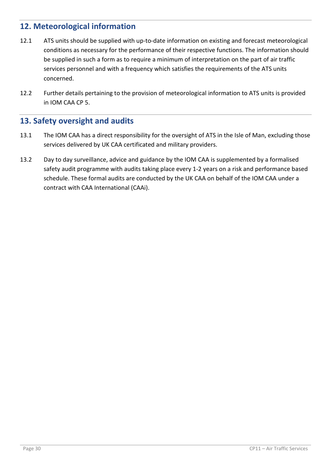# <span id="page-29-0"></span>**12. Meteorological information**

- 12.1 ATS units should be supplied with up-to-date information on existing and forecast meteorological conditions as necessary for the performance of their respective functions. The information should be supplied in such a form as to require a minimum of interpretation on the part of air traffic services personnel and with a frequency which satisfies the requirements of the ATS units concerned.
- 12.2 Further details pertaining to the provision of meteorological information to ATS units is provided in IOM CAA CP 5.

## <span id="page-29-1"></span>**13. Safety oversight and audits**

- 13.1 The IOM CAA has a direct responsibility for the oversight of ATS in the Isle of Man, excluding those services delivered by UK CAA certificated and military providers.
- 13.2 Day to day surveillance, advice and guidance by the IOM CAA is supplemented by a formalised safety audit programme with audits taking place every 1-2 years on a risk and performance based schedule. These formal audits are conducted by the UK CAA on behalf of the IOM CAA under a contract with CAA International (CAAi).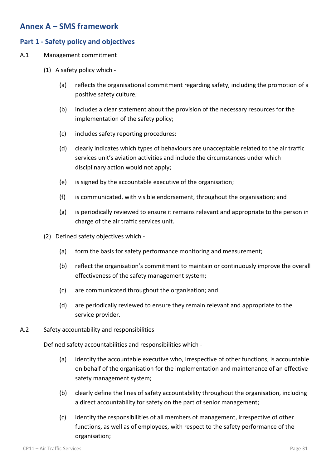# <span id="page-30-0"></span>**Annex A – SMS framework**

#### <span id="page-30-1"></span>**Part 1 - Safety policy and objectives**

- A.1 Management commitment
	- (1) A safety policy which
		- (a) reflects the organisational commitment regarding safety, including the promotion of a positive safety culture;
		- (b) includes a clear statement about the provision of the necessary resources for the implementation of the safety policy;
		- (c) includes safety reporting procedures;
		- (d) clearly indicates which types of behaviours are unacceptable related to the air traffic services unit's aviation activities and include the circumstances under which disciplinary action would not apply;
		- (e) is signed by the accountable executive of the organisation;
		- (f) is communicated, with visible endorsement, throughout the organisation; and
		- $(g)$  is periodically reviewed to ensure it remains relevant and appropriate to the person in charge of the air traffic services unit.
	- (2) Defined safety objectives which
		- (a) form the basis for safety performance monitoring and measurement;
		- (b) reflect the organisation's commitment to maintain or continuously improve the overall effectiveness of the safety management system;
		- (c) are communicated throughout the organisation; and
		- (d) are periodically reviewed to ensure they remain relevant and appropriate to the service provider.
- A.2 Safety accountability and responsibilities

Defined safety accountabilities and responsibilities which -

- (a) identify the accountable executive who, irrespective of other functions, is accountable on behalf of the organisation for the implementation and maintenance of an effective safety management system;
- (b) clearly define the lines of safety accountability throughout the organisation, including a direct accountability for safety on the part of senior management;
- (c) identify the responsibilities of all members of management, irrespective of other functions, as well as of employees, with respect to the safety performance of the organisation;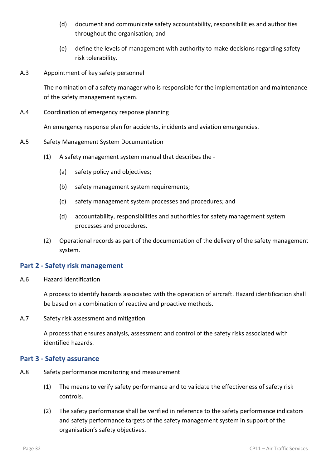- (d) document and communicate safety accountability, responsibilities and authorities throughout the organisation; and
- (e) define the levels of management with authority to make decisions regarding safety risk tolerability.
- A.3 Appointment of key safety personnel

The nomination of a safety manager who is responsible for the implementation and maintenance of the safety management system.

A.4 Coordination of emergency response planning

An emergency response plan for accidents, incidents and aviation emergencies.

- A.5 Safety Management System Documentation
	- (1) A safety management system manual that describes the
		- (a) safety policy and objectives;
		- (b) safety management system requirements;
		- (c) safety management system processes and procedures; and
		- (d) accountability, responsibilities and authorities for safety management system processes and procedures.
	- (2) Operational records as part of the documentation of the delivery of the safety management system.

#### <span id="page-31-0"></span>**Part 2 - Safety risk management**

A.6 Hazard identification

A process to identify hazards associated with the operation of aircraft. Hazard identification shall be based on a combination of reactive and proactive methods.

A.7 Safety risk assessment and mitigation

A process that ensures analysis, assessment and control of the safety risks associated with identified hazards.

#### <span id="page-31-1"></span>**Part 3 - Safety assurance**

- A.8 Safety performance monitoring and measurement
	- (1) The means to verify safety performance and to validate the effectiveness of safety risk controls.
	- (2) The safety performance shall be verified in reference to the safety performance indicators and safety performance targets of the safety management system in support of the organisation's safety objectives.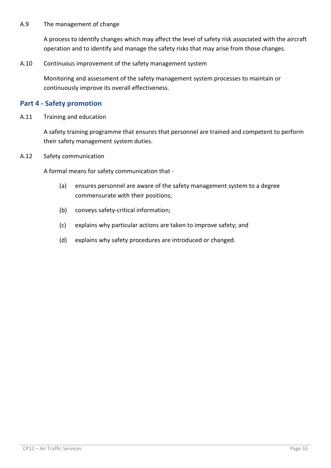#### A.9 The management of change

A process to identify changes which may affect the level of safety risk associated with the aircraft operation and to identify and manage the safety risks that may arise from those changes.

#### A.10 Continuous improvement of the safety management system

Monitoring and assessment of the safety management system processes to maintain or continuously improve its overall effectiveness.

#### <span id="page-32-0"></span>**Part 4 - Safety promotion**

A.11 Training and education

A safety training programme that ensures that personnel are trained and competent to perform their safety management system duties.

A.12 Safety communication

A formal means for safety communication that -

- (a) ensures personnel are aware of the safety management system to a degree commensurate with their positions;
- (b) conveys safety-critical information;
- (c) explains why particular actions are taken to improve safety; and
- (d) explains why safety procedures are introduced or changed.